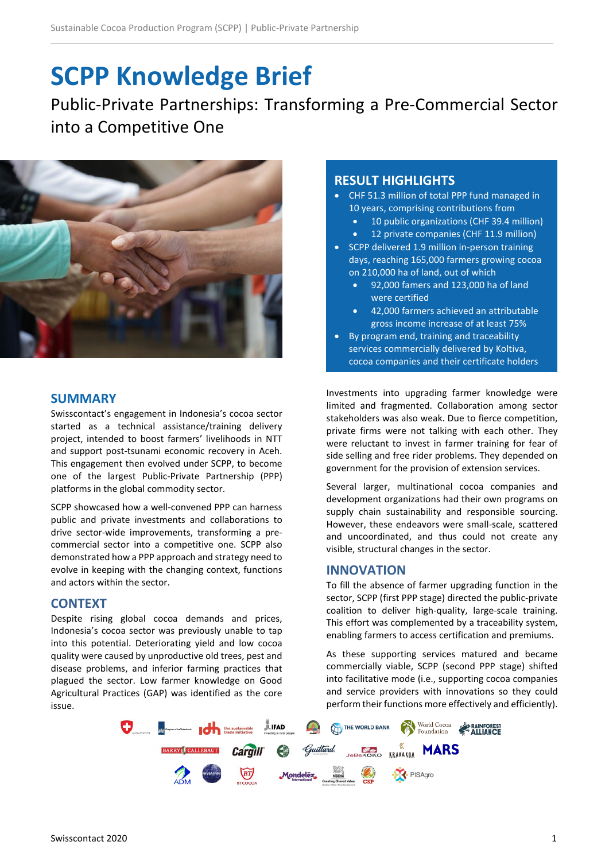# **SCPP Knowledge Brief**

Public-Private Partnerships: Transforming a Pre-Commercial Sector into a Competitive One



# **SUMMARY**

Swisscontact's engagement in Indonesia's cocoa sector started as a technical assistance/training delivery project, intended to boost farmers' livelihoods in NTT and support post-tsunami economic recovery in Aceh. This engagement then evolved under SCPP, to become one of the largest Public-Private Partnership (PPP) platforms in the global commodity sector.

SCPP showcased how a well-convened PPP can harness public and private investments and collaborations to drive sector-wide improvements, transforming a precommercial sector into a competitive one. SCPP also demonstrated how a PPP approach and strategy need to evolve in keeping with the changing context, functions and actors within the sector.

## **CONTEXT**

Despite rising global cocoa demands and prices, Indonesia's cocoa sector was previously unable to tap into this potential. Deteriorating yield and low cocoa quality were caused by unproductive old trees, pest and disease problems, and inferior farming practices that plagued the sector. Low farmer knowledge on Good Agricultural Practices (GAP) was identified as the core issue.

# **RESULT HIGHLIGHTS**

- CHF 51.3 million of total PPP fund managed in 10 years, comprising contributions from
	- 10 public organizations (CHF 39.4 million)
	- 12 private companies (CHF 11.9 million)
- SCPP delivered 1.9 million in-person training days, reaching 165,000 farmers growing cocoa on 210,000 ha of land, out of which
	- 92,000 famers and 123,000 ha of land were certified
	- 42,000 farmers achieved an attributable gross income increase of at least 75%
- By program end, training and traceability services commercially delivered by Koltiva, cocoa companies and their certificate holders

Investments into upgrading farmer knowledge were limited and fragmented. Collaboration among sector stakeholders was also weak. Due to fierce competition, private firms were not talking with each other. They were reluctant to invest in farmer training for fear of side selling and free rider problems. They depended on government for the provision of extension services.

Several larger, multinational cocoa companies and development organizations had their own programs on supply chain sustainability and responsible sourcing. However, these endeavors were small-scale, scattered and uncoordinated, and thus could not create any visible, structural changes in the sector.

## **INNOVATION**

To fill the absence of farmer upgrading function in the sector, SCPP (first PPP stage) directed the public-private coalition to deliver high-quality, large-scale training. This effort was complemented by a traceability system, enabling farmers to access certification and premiums.

As these supporting services matured and became commercially viable, SCPP (second PPP stage) shifted into facilitative mode (i.e., supporting cocoa companies and service providers with innovations so they could perform their functions more effectively and efficiently).

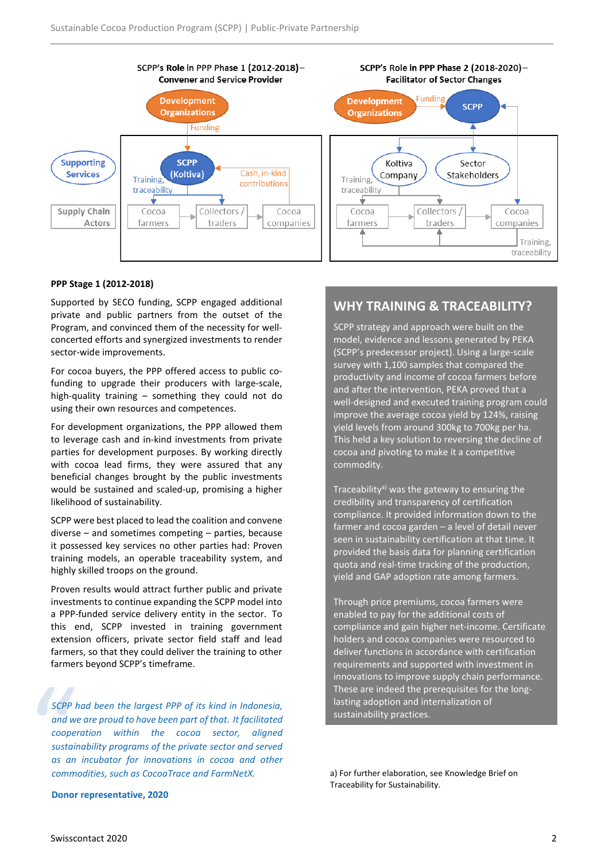

#### **PPP Stage 1 (2012-2018)**

Supported by SECO funding, SCPP engaged additional private and public partners from the outset of the Program, and convinced them of the necessity for wellconcerted efforts and synergized investments to render sector-wide improvements.

For cocoa buyers, the PPP offered access to public cofunding to upgrade their producers with large-scale, high-quality training – something they could not do using their own resources and competences.

For development organizations, the PPP allowed them to leverage cash and in-kind investments from private parties for development purposes. By working directly with cocoa lead firms, they were assured that any beneficial changes brought by the public investments would be sustained and scaled-up, promising a higher likelihood of sustainability.

SCPP were best placed to lead the coalition and convene diverse – and sometimes competing – parties, because it possessed key services no other parties had: Proven training models, an operable traceability system, and highly skilled troops on the ground.

Proven results would attract further public and private investments to continue expanding the SCPP model into a PPP-funded service delivery entity in the sector. To this end, SCPP invested in training government extension officers, private sector field staff and lead farmers, so that they could deliver the training to other farmers beyond SCPP's timeframe.

SCPP I<br>
and w<br>
coope<br>
sustail<br>
as an<br>
comm *SCPP had been the largest PPP of its kind in Indonesia, and we are proud to have been part of that. It facilitated cooperation within the cocoa sector, aligned sustainability programs of the private sector and served as an incubator for innovations in cocoa and other commodities, such as CocoaTrace and FarmNetX.*

## **WHY TRAINING & TRACEABILITY?**

SCPP strategy and approach were built on the model, evidence and lessons generated by PEKA (SCPP's predecessor project). Using a large-scale survey with 1,100 samples that compared the productivity and income of cocoa farmers before and after the intervention, PEKA proved that a well-designed and executed training program could improve the average cocoa yield by 124%, raising yield levels from around 300kg to 700kg per ha. This held a key solution to reversing the decline of cocoa and pivoting to make it a competitive commodity.

Traceability<sup>a)</sup> was the gateway to ensuring the credibility and transparency of certification compliance. It provided information down to the farmer and cocoa garden – a level of detail never seen in sustainability certification at that time. It provided the basis data for planning certification quota and real-time tracking of the production, yield and GAP adoption rate among farmers.

Through price premiums, cocoa farmers were enabled to pay for the additional costs of compliance and gain higher net-income. Certificate holders and cocoa companies were resourced to deliver functions in accordance with certification requirements and supported with investment in innovations to improve supply chain performance. These are indeed the prerequisites for the longlasting adoption and internalization of sustainability practices.

a) For further elaboration, see Knowledge Brief on Traceability for Sustainability.

**Donor representative, 2020**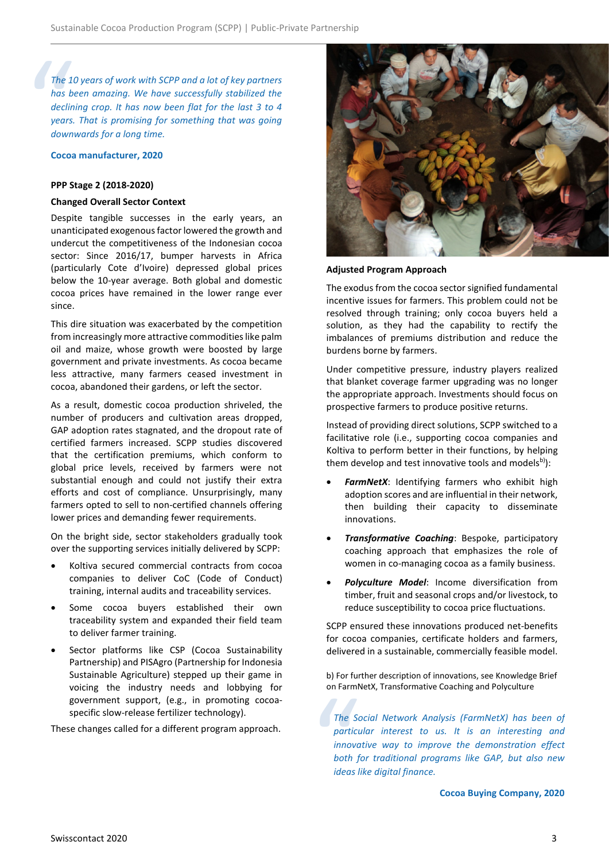The 1<br>has b<br>declin<br>years.<br>down<br>Cocoa *The 10 years of work with SCPP and a lot of key partners has been amazing. We have successfully stabilized the declining crop. It has now been flat for the last 3 to 4 years. That is promising for something that was going downwards for a long time.*

#### **Cocoa manufacturer, 2020**

#### **PPP Stage 2 (2018-2020)**

#### **Changed Overall Sector Context**

Despite tangible successes in the early years, an unanticipated exogenous factor lowered the growth and undercut the competitiveness of the Indonesian cocoa sector: Since 2016/17, bumper harvests in Africa (particularly Cote d'Ivoire) depressed global prices below the 10-year average. Both global and domestic cocoa prices have remained in the lower range ever since.

This dire situation was exacerbated by the competition from increasingly more attractive commodities like palm oil and maize, whose growth were boosted by large government and private investments. As cocoa became less attractive, many farmers ceased investment in cocoa, abandoned their gardens, or left the sector.

As a result, domestic cocoa production shriveled, the number of producers and cultivation areas dropped, GAP adoption rates stagnated, and the dropout rate of certified farmers increased. SCPP studies discovered that the certification premiums, which conform to global price levels, received by farmers were not substantial enough and could not justify their extra efforts and cost of compliance. Unsurprisingly, many farmers opted to sell to non-certified channels offering lower prices and demanding fewer requirements.

On the bright side, sector stakeholders gradually took over the supporting services initially delivered by SCPP:

- Koltiva secured commercial contracts from cocoa companies to deliver CoC (Code of Conduct) training, internal audits and traceability services.
- Some cocoa buyers established their own traceability system and expanded their field team to deliver farmer training.
- Sector platforms like CSP (Cocoa Sustainability Partnership) and PISAgro (Partnership for Indonesia Sustainable Agriculture) stepped up their game in voicing the industry needs and lobbying for government support, (e.g., in promoting cocoaspecific slow-release fertilizer technology).

These changes called for a different program approach.



#### **Adjusted Program Approach**

The exodus from the cocoa sector signified fundamental incentive issues for farmers. This problem could not be resolved through training; only cocoa buyers held a solution, as they had the capability to rectify the imbalances of premiums distribution and reduce the burdens borne by farmers.

Under competitive pressure, industry players realized that blanket coverage farmer upgrading was no longer the appropriate approach. Investments should focus on prospective farmers to produce positive returns.

Instead of providing direct solutions, SCPP switched to a facilitative role (i.e., supporting cocoa companies and Koltiva to perform better in their functions, by helping them develop and test innovative tools and models<sup>b)</sup>):

- **FarmNetX:** Identifying farmers who exhibit high adoption scores and are influential in their network, then building their capacity to disseminate innovations.
- *Transformative Coaching*: Bespoke, participatory coaching approach that emphasizes the role of women in co-managing cocoa as a family business.
- *Polyculture Model*: Income diversification from timber, fruit and seasonal crops and/or livestock, to reduce susceptibility to cocoa price fluctuations.

SCPP ensured these innovations produced net-benefits for cocoa companies, certificate holders and farmers, delivered in a sustainable, commercially feasible model.

b) For further description of innovations, see Knowledge Brief on FarmNetX, Transformative Coaching and Polyculture

The Separtic<br>
partic<br>
innove<br>
both j<br>
ideas *The Social Network Analysis (FarmNetX) has been of particular interest to us. It is an interesting and innovative way to improve the demonstration effect both for traditional programs like GAP, but also new ideas like digital finance.*

**Cocoa Buying Company, 2020**